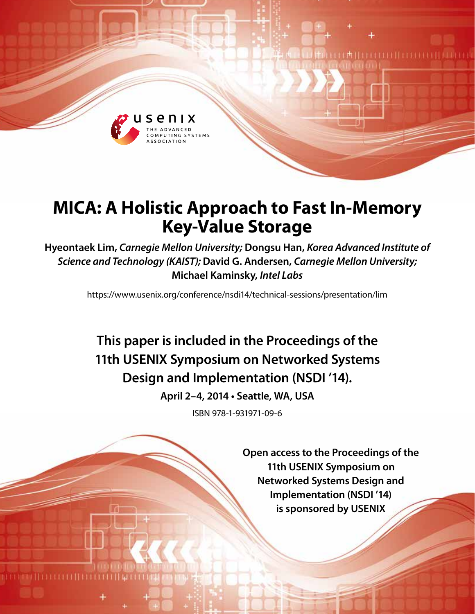

# **MICA: A Holistic Approach to Fast In-Memory Key-Value Storage**

**Hyeontaek Lim,** *Carnegie Mellon University;* **Dongsu Han,** *Korea Advanced Institute of Science and Technology (KAIST);* **David G. Andersen,** *Carnegie Mellon University;*  **Michael Kaminsky,** *Intel Labs*

https://www.usenix.org/conference/nsdi14/technical-sessions/presentation/lim

**This paper is included in the Proceedings of the 11th USENIX Symposium on Networked Systems Design and Implementation (NSDI '14).**

**April 2–4, 2014 • Seattle, WA, USA**

ISBN 978-1-931971-09-6

**Open access to the Proceedings of the 11th USENIX Symposium on Networked Systems Design and Implementation (NSDI '14) is sponsored by USENIX**

I M I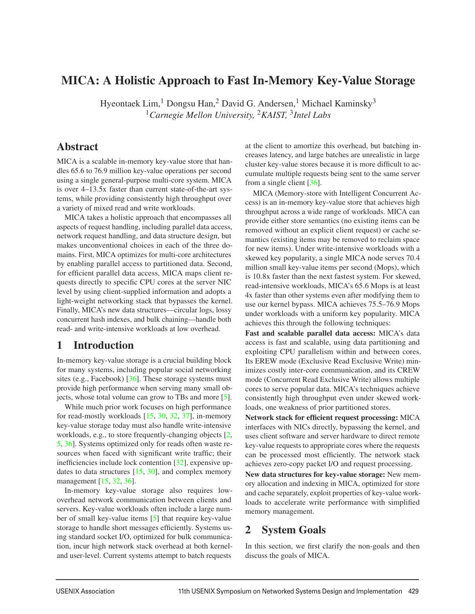# MICA: A Holistic Approach to Fast In-Memory Key-Value Storage

Hyeontaek Lim,<sup>1</sup> Dongsu Han,<sup>2</sup> David G. Andersen,<sup>1</sup> Michael Kaminsky<sup>3</sup> <sup>1</sup>*Carnegie Mellon University,* <sup>2</sup>*KAIST,* <sup>3</sup>*Intel Labs*

## **Abstract**

MICA is a scalable in-memory key-value store that handles 65.6 to 76.9 million key-value operations per second using a single general-purpose multi-core system. MICA is over 4–13.5x faster than current state-of-the-art systems, while providing consistently high throughput over a variety of mixed read and write workloads.

MICA takes a holistic approach that encompasses all aspects of request handling, including parallel data access, network request handling, and data structure design, but makes unconventional choices in each of the three domains. First, MICA optimizes for multi-core architectures by enabling parallel access to partitioned data. Second, for efficient parallel data access, MICA maps client requests directly to specific CPU cores at the server NIC level by using client-supplied information and adopts a light-weight networking stack that bypasses the kernel. Finally, MICA's new data structures—circular logs, lossy concurrent hash indexes, and bulk chaining—handle both read- and write-intensive workloads at low overhead.

# 1 Introduction

In-memory key-value storage is a crucial building block for many systems, including popular social networking sites (e.g., Facebook)  $[36]$ . These storage systems must provide high performance when serving many small objects, whose total volume can grow to TBs and more [5].

While much prior work focuses on high performance for read-mostly workloads  $[15, 30, 32, 37]$ , in-memory key-value storage today must also handle write-intensive workloads, e.g., to store frequently-changing objects [2, 5, 36]. Systems optimized only for reads often waste resources when faced with significant write traffic; their inefficiencies include lock contention [32], expensive updates to data structures  $[15, 30]$ , and complex memory management [15, 32, 36].

In-memory key-value storage also requires lowoverhead network communication between clients and servers. Key-value workloads often include a large number of small key-value items [5] that require key-value storage to handle short messages efficiently. Systems using standard socket I/O, optimized for bulk communication, incur high network stack overhead at both kerneland user-level. Current systems attempt to batch requests

at the client to amortize this overhead, but batching increases latency, and large batches are unrealistic in large cluster key-value stores because it is more difficult to accumulate multiple requests being sent to the same server from a single client [36].

MICA (Memory-store with Intelligent Concurrent Access) is an in-memory key-value store that achieves high throughput across a wide range of workloads. MICA can provide either store semantics (no existing items can be removed without an explicit client request) or cache semantics (existing items may be removed to reclaim space for new items). Under write-intensive workloads with a skewed key popularity, a single MICA node serves 70.4 million small key-value items per second (Mops), which is 10.8x faster than the next fastest system. For skewed, read-intensive workloads, MICA's 65.6 Mops is at least 4x faster than other systems even after modifying them to use our kernel bypass. MICA achieves 75.5–76.9 Mops under workloads with a uniform key popularity. MICA achieves this through the following techniques:

Fast and scalable parallel data access: MICA's data access is fast and scalable, using data partitioning and exploiting CPU parallelism within and between cores. Its EREW mode (Exclusive Read Exclusive Write) minimizes costly inter-core communication, and its CREW mode (Concurrent Read Exclusive Write) allows multiple cores to serve popular data. MICA's techniques achieve consistently high throughput even under skewed workloads, one weakness of prior partitioned stores.

Network stack for efficient request processing: MICA interfaces with NICs directly, bypassing the kernel, and uses client software and server hardware to direct remote key-value requests to appropriate cores where the requests can be processed most efficiently. The network stack achieves zero-copy packet I/O and request processing.

New data structures for key-value storage: New memory allocation and indexing in MICA, optimized for store and cache separately, exploit properties of key-value workloads to accelerate write performance with simplified memory management.

# 2 System Goals

In this section, we first clarify the non-goals and then discuss the goals of MICA.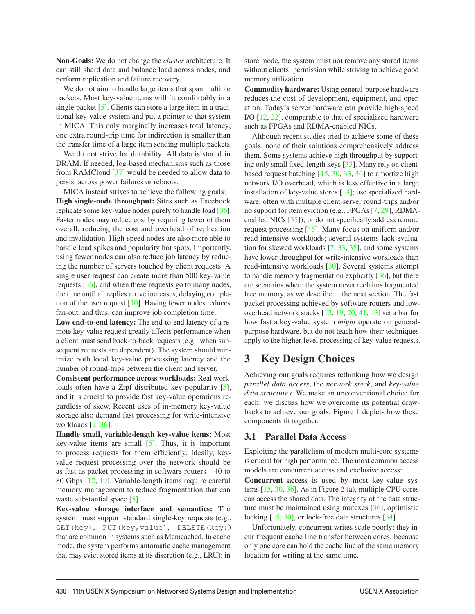Non-Goals: We do not change the *cluster* architecture. It can still shard data and balance load across nodes, and perform replication and failure recovery.

We do not aim to handle large items that span multiple packets. Most key-value items will fit comfortably in a single packet [5]. Clients can store a large item in a traditional key-value system and put a pointer to that system in MICA. This only marginally increases total latency; one extra round-trip time for indirection is smaller than the transfer time of a large item sending multiple packets.

We do not strive for durability: All data is stored in DRAM. If needed, log-based mechanisms such as those from RAMCloud [37] would be needed to allow data to persist across power failures or reboots.

MICA instead strives to achieve the following goals: High single-node throughput: Sites such as Facebook replicate some key-value nodes purely to handle load [36]. Faster nodes may reduce cost by requiring fewer of them overall, reducing the cost and overhead of replication and invalidation. High-speed nodes are also more able to handle load spikes and popularity hot spots. Importantly, using fewer nodes can also reduce job latency by reducing the number of servers touched by client requests. A single user request can create more than 500 key-value requests [36], and when these requests go to many nodes, the time until all replies arrive increases, delaying completion of the user request [10]. Having fewer nodes reduces fan-out, and thus, can improve job completion time.

Low end-to-end latency: The end-to-end latency of a remote key-value request greatly affects performance when a client must send back-to-back requests (e.g., when subsequent requests are dependent). The system should minimize both local key-value processing latency and the number of round-trips between the client and server.

Consistent performance across workloads: Real workloads often have a Zipf-distributed key popularity [5], and it is crucial to provide fast key-value operations regardless of skew. Recent uses of in-memory key-value storage also demand fast processing for write-intensive workloads [2, 36].

Handle small, variable-length key-value items: Most key-value items are small  $[5]$ . Thus, it is important to process requests for them efficiently. Ideally, keyvalue request processing over the network should be as fast as packet processing in software routers—40 to 80 Gbps [12, 19]. Variable-length items require careful memory management to reduce fragmentation that can waste substantial space [5].

Key-value storage interface and semantics: The system must support standard single-key requests (e.g., GET(key), PUT(key,value), DELETE(key)) that are common in systems such as Memcached. In cache mode, the system performs automatic cache management that may evict stored items at its discretion (e.g., LRU); in

store mode, the system must not remove any stored items without clients' permission while striving to achieve good memory utilization.

Commodity hardware: Using general-purpose hardware reduces the cost of development, equipment, and operation. Today's server hardware can provide high-speed I/O [12, 22], comparable to that of specialized hardware such as FPGAs and RDMA-enabled NICs.

Although recent studies tried to achieve some of these goals, none of their solutions comprehensively address them. Some systems achieve high throughput by supporting only small fixed-length keys [33]. Many rely on clientbased request batching [15, 30, 33, 36] to amortize high network I/O overhead, which is less effective in a large installation of key-value stores [14]; use specialized hardware, often with multiple client-server round-trips and/or no support for item eviction (e.g., FPGAs [7, 29], RDMAenabled NICs [35]); or do not specifically address remote request processing [45]. Many focus on uniform and/or read-intensive workloads; several systems lack evaluation for skewed workloads [7, 33, 35], and some systems have lower throughput for write-intensive workloads than read-intensive workloads [30]. Several systems attempt to handle memory fragmentation explicitly [36], but there are scenarios where the system never reclaims fragmented free memory, as we describe in the next section. The fast packet processing achieved by software routers and lowoverhead network stacks [12, 19, 20, 41, 43] set a bar for how fast a key-value system *might* operate on generalpurpose hardware, but do not teach how their techniques apply to the higher-level processing of key-value requests.

### 3 Key Design Choices

Achieving our goals requires rethinking how we design *parallel data access*, the *network stack*, and *key-value data structures*. We make an unconventional choice for each; we discuss how we overcome its potential drawbacks to achieve our goals. Figure 1 depicts how these components fit together.

#### 3.1 Parallel Data Access

Exploiting the parallelism of modern multi-core systems is crucial for high performance. The most common access models are concurrent access and exclusive access:

Concurrent access is used by most key-value systems [15, 30, 36]. As in Figure 2 (a), multiple CPU cores can access the shared data. The integrity of the data structure must be maintained using mutexes [36], optimistic locking [15, 30], or lock-free data structures [34].

Unfortunately, concurrent writes scale poorly: they incur frequent cache line transfer between cores, because only one core can hold the cache line of the same memory location for writing at the same time.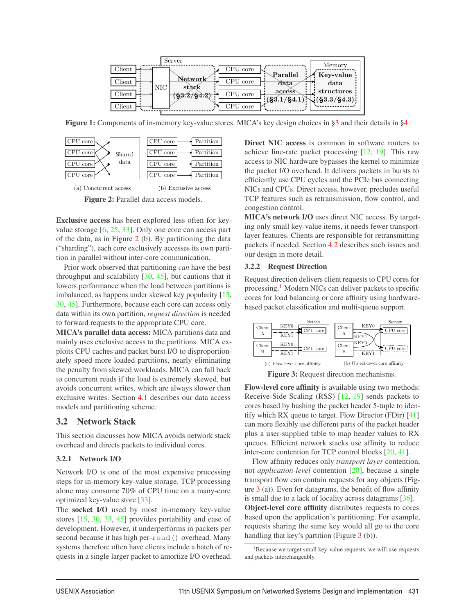| Server                                                                                |                       |
|---------------------------------------------------------------------------------------|-----------------------|
| CPU core<br>$\mathop{\mathrm{Client}}$                                                | Memory                |
| $\rm {Parallel}$<br>${\bf Network}$<br>CPU core<br>$\mathbb{C}$ lient<br>data         | * Key-value<br>data   |
| , NIC<br>stàck<br>accéss                                                              | structures            |
| CPU core<br>$\mathrm{Client}$<br>$(\frac{83.2}{84.2})$<br>$($ §3.1/§4.1) <sup>3</sup> | $\sqrt{(§3.3/\$4.3)}$ |
| CPU core<br>$\mathop{\mathrm{Client}}$                                                |                       |

Figure 1: Components of in-memory key-value stores. MICA's key design choices in §3 and their details in §4.



Figure 2: Parallel data access models.

Exclusive access has been explored less often for keyvalue storage [6, 25, 33]. Only one core can access part of the data, as in Figure 2 (b). By partitioning the data ("sharding"), each core exclusively accesses its own partition in parallel without inter-core communication.

Prior work observed that partitioning *can* have the best throughput and scalability [30, 45], but cautions that it lowers performance when the load between partitions is imbalanced, as happens under skewed key popularity [15, 30, 45]. Furthermore, because each core can access only data within its own partition, *request direction* is needed to forward requests to the appropriate CPU core.

MICA's parallel data access: MICA partitions data and mainly uses exclusive access to the partitions. MICA exploits CPU caches and packet burst I/O to disproportionately speed more loaded partitions, nearly eliminating the penalty from skewed workloads. MICA can fall back to concurrent reads if the load is extremely skewed, but avoids concurrent writes, which are always slower than exclusive writes. Section 4.1 describes our data access models and partitioning scheme.

#### 3.2 Network Stack

This section discusses how MICA avoids network stack overhead and directs packets to individual cores.

#### 3.2.1 Network I/O

Network I/O is one of the most expensive processing steps for in-memory key-value storage. TCP processing alone may consume 70% of CPU time on a many-core optimized key-value store [33].

The socket I/O used by most in-memory key-value stores [15, 30, 33, 45] provides portability and ease of development. However, it underperforms in packets per second because it has high per-read() overhead. Many systems therefore often have clients include a batch of requests in a single larger packet to amortize I/O overhead. Direct NIC access is common in software routers to achieve line-rate packet processing [12, 19]. This raw access to NIC hardware bypasses the kernel to minimize the packet I/O overhead. It delivers packets in bursts to efficiently use CPU cycles and the PCIe bus connecting NICs and CPUs. Direct access, however, precludes useful TCP features such as retransmission, flow control, and congestion control.

MICA's network I/O uses direct NIC access. By targeting only small key-value items, it needs fewer transportlayer features. Clients are responsible for retransmitting packets if needed. Section 4.2 describes such issues and our design in more detail.

#### 3.2.2 Request Direction

Request direction delivers client requests to CPU cores for processing.1 Modern NICs can deliver packets to specific cores for load balancing or core affinity using hardwarebased packet classification and multi-queue support.



Figure 3: Request direction mechanisms.

Flow-level core affinity is available using two methods: Receive-Side Scaling (RSS) [12, 19] sends packets to cores based by hashing the packet header 5-tuple to identify which RX queue to target. Flow Director (FDir) [41] can more flexibly use different parts of the packet header plus a user-supplied table to map header values to RX queues. Efficient network stacks use affinity to reduce inter-core contention for TCP control blocks [20, 41].

Flow affinity reduces only *transport layer* contention, not *application-level* contention [20], because a single transport flow can contain requests for any objects (Figure  $3$  (a)). Even for datagrams, the benefit of flow affinity is small due to a lack of locality across datagrams [36].

Object-level core affinity distributes requests to cores based upon the application's partitioning. For example, requests sharing the same key would all go to the core handling that key's partition (Figure 3 (b)).

<sup>&</sup>lt;sup>1</sup>Because we target small key-value requests, we will use requests and packets interchangeably.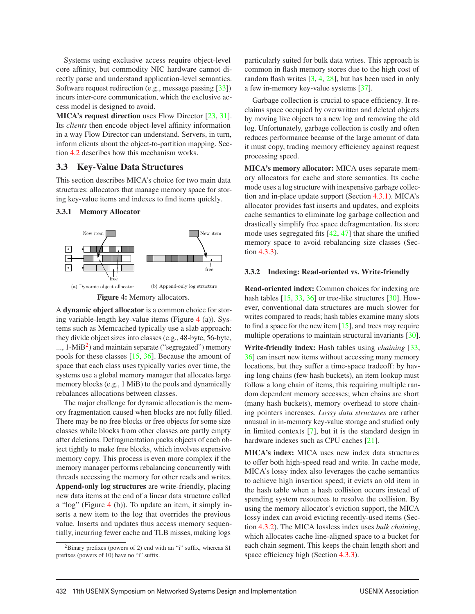Systems using exclusive access require object-level core affinity, but commodity NIC hardware cannot directly parse and understand application-level semantics. Software request redirection (e.g., message passing [33]) incurs inter-core communication, which the exclusive access model is designed to avoid.

MICA's request direction uses Flow Director [23, 31]. Its *clients* then encode object-level affinity information in a way Flow Director can understand. Servers, in turn, inform clients about the object-to-partition mapping. Section 4.2 describes how this mechanism works.

#### 3.3 Key-Value Data Structures

This section describes MICA's choice for two main data structures: allocators that manage memory space for storing key-value items and indexes to find items quickly.

#### 3.3.1 Memory Allocator



A dynamic object allocator is a common choice for storing variable-length key-value items (Figure 4 (a)). Systems such as Memcached typically use a slab approach: they divide object sizes into classes (e.g., 48-byte, 56-byte,  $...,$  1-MiB<sup>2</sup>) and maintain separate ("segregated") memory pools for these classes [15, 36]. Because the amount of space that each class uses typically varies over time, the systems use a global memory manager that allocates large memory blocks (e.g., 1 MiB) to the pools and dynamically rebalances allocations between classes.

The major challenge for dynamic allocation is the memory fragmentation caused when blocks are not fully filled. There may be no free blocks or free objects for some size classes while blocks from other classes are partly empty after deletions. Defragmentation packs objects of each object tightly to make free blocks, which involves expensive memory copy. This process is even more complex if the memory manager performs rebalancing concurrently with threads accessing the memory for other reads and writes. Append-only log structures are write-friendly, placing new data items at the end of a linear data structure called a "log" (Figure 4 (b)). To update an item, it simply inserts a new item to the log that overrides the previous value. Inserts and updates thus access memory sequentially, incurring fewer cache and TLB misses, making logs

particularly suited for bulk data writes. This approach is common in flash memory stores due to the high cost of random flash writes [3, 4, 28], but has been used in only a few in-memory key-value systems [37].

Garbage collection is crucial to space efficiency. It reclaims space occupied by overwritten and deleted objects by moving live objects to a new log and removing the old log. Unfortunately, garbage collection is costly and often reduces performance because of the large amount of data it must copy, trading memory efficiency against request processing speed.

MICA's memory allocator: MICA uses separate memory allocators for cache and store semantics. Its cache mode uses a log structure with inexpensive garbage collection and in-place update support (Section 4.3.1). MICA's allocator provides fast inserts and updates, and exploits cache semantics to eliminate log garbage collection and drastically simplify free space defragmentation. Its store mode uses segregated fits [42, 47] that share the unified memory space to avoid rebalancing size classes (Section 4.3.3).

#### 3.3.2 Indexing: Read-oriented vs. Write-friendly

Read-oriented index: Common choices for indexing are hash tables [15, 33, 36] or tree-like structures [30]. However, conventional data structures are much slower for writes compared to reads; hash tables examine many slots to find a space for the new item [15], and trees may require multiple operations to maintain structural invariants [30].

Write-friendly index: Hash tables using *chaining* [33, 36] can insert new items without accessing many memory locations, but they suffer a time-space tradeoff: by having long chains (few hash buckets), an item lookup must follow a long chain of items, this requiring multiple random dependent memory accesses; when chains are short (many hash buckets), memory overhead to store chaining pointers increases. *Lossy data structures* are rather unusual in in-memory key-value storage and studied only in limited contexts [7], but it is the standard design in hardware indexes such as CPU caches [21].

MICA's index: MICA uses new index data structures to offer both high-speed read and write. In cache mode, MICA's lossy index also leverages the cache semantics to achieve high insertion speed; it evicts an old item in the hash table when a hash collision occurs instead of spending system resources to resolve the collision. By using the memory allocator's eviction support, the MICA lossy index can avoid evicting recently-used items (Section 4.3.2). The MICA lossless index uses *bulk chaining*, which allocates cache line-aligned space to a bucket for each chain segment. This keeps the chain length short and space efficiency high (Section 4.3.3).

 ${}^{2}$ Binary prefixes (powers of 2) end with an "i" suffix, whereas SI prefixes (powers of 10) have no "i" suffix.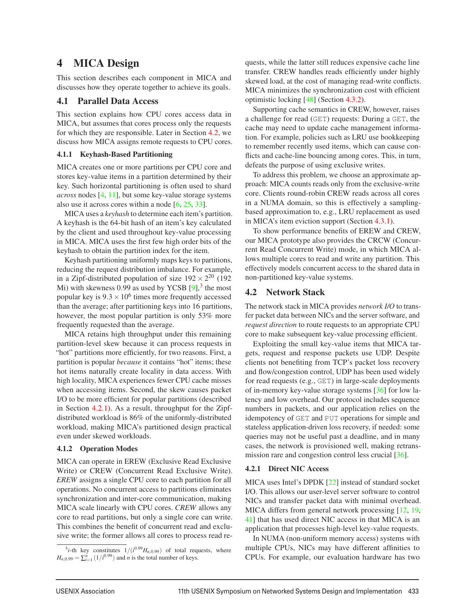# 4 MICA Design

This section describes each component in MICA and discusses how they operate together to achieve its goals.

#### 4.1 Parallel Data Access

This section explains how CPU cores access data in MICA, but assumes that cores process only the requests for which they are responsible. Later in Section 4.2, we discuss how MICA assigns remote requests to CPU cores.

#### 4.1.1 Keyhash-Based Partitioning

MICA creates one or more partitions per CPU core and stores key-value items in a partition determined by their key. Such horizontal partitioning is often used to shard *across* nodes [4, 11], but some key-value storage systems also use it across cores within a node  $[6, 25, 33]$ .

MICA uses a *keyhash* to determine each item's partition. A keyhash is the 64-bit hash of an item's key calculated by the client and used throughout key-value processing in MICA. MICA uses the first few high order bits of the keyhash to obtain the partition index for the item.

Keyhash partitioning uniformly maps keys to partitions, reducing the request distribution imbalance. For example, in a Zipf-distributed population of size  $192 \times 2^{20}$  (192 Mi) with skewness 0.99 as used by YCSB  $[9]$ ,<sup>3</sup> the most popular key is  $9.3 \times 10^6$  times more frequently accessed than the average; after partitioning keys into 16 partitions, however, the most popular partition is only 53% more frequently requested than the average.

MICA retains high throughput under this remaining partition-level skew because it can process requests in "hot" partitions more efficiently, for two reasons. First, a partition is popular *because* it contains "hot" items; these hot items naturally create locality in data access. With high locality, MICA experiences fewer CPU cache misses when accessing items. Second, the skew causes packet I/O to be more efficient for popular partitions (described in Section 4.2.1). As a result, throughput for the Zipfdistributed workload is 86% of the uniformly-distributed workload, making MICA's partitioned design practical even under skewed workloads.

#### 4.1.2 Operation Modes

MICA can operate in EREW (Exclusive Read Exclusive Write) or CREW (Concurrent Read Exclusive Write). *EREW* assigns a single CPU core to each partition for all operations. No concurrent access to partitions eliminates synchronization and inter-core communication, making MICA scale linearly with CPU cores. *CREW* allows any core to read partitions, but only a single core can write. This combines the benefit of concurrent read and exclusive write; the former allows all cores to process read requests, while the latter still reduces expensive cache line transfer. CREW handles reads efficiently under highly skewed load, at the cost of managing read-write conflicts. MICA minimizes the synchronization cost with efficient optimistic locking [48] (Section 4.3.2).

Supporting cache semantics in CREW, however, raises a challenge for read (GET) requests: During a GET, the cache may need to update cache management information. For example, policies such as LRU use bookkeeping to remember recently used items, which can cause conflicts and cache-line bouncing among cores. This, in turn, defeats the purpose of using exclusive writes.

To address this problem, we choose an approximate approach: MICA counts reads only from the exclusive-write core. Clients round-robin CREW reads across all cores in a NUMA domain, so this is effectively a samplingbased approximation to, e.g., LRU replacement as used in MICA's item eviction support (Section 4.3.1).

To show performance benefits of EREW and CREW, our MICA prototype also provides the CRCW (Concurrent Read Concurrent Write) mode, in which MICA allows multiple cores to read and write any partition. This effectively models concurrent access to the shared data in non-partitioned key-value systems.

#### 4.2 Network Stack

The network stack in MICA provides *network I/O* to transfer packet data between NICs and the server software, and *request direction* to route requests to an appropriate CPU core to make subsequent key-value processing efficient.

Exploiting the small key-value items that MICA targets, request and response packets use UDP. Despite clients not benefiting from TCP's packet loss recovery and flow/congestion control, UDP has been used widely for read requests (e.g., GET) in large-scale deployments of in-memory key-value storage systems [36] for low latency and low overhead. Our protocol includes sequence numbers in packets, and our application relies on the idempotency of GET and PUT operations for simple and stateless application-driven loss recovery, if needed: some queries may not be useful past a deadline, and in many cases, the network is provisioned well, making retransmission rare and congestion control less crucial [36].

#### 4.2.1 Direct NIC Access

MICA uses Intel's DPDK [22] instead of standard socket I/O. This allows our user-level server software to control NICs and transfer packet data with minimal overhead. MICA differs from general network processing [12, 19, 41] that has used direct NIC access in that MICA is an application that processes high-level key-value requests.

In NUMA (non-uniform memory access) systems with multiple CPUs, NICs may have different affinities to CPUs. For example, our evaluation hardware has two

 $3i$ -th key constitutes  $1/(i^{0.99}H_{n,0.99})$  of total requests, where  $H_{n,0.99} = \sum_{i=1}^{n} (1/i^{0.99})$  and *n* is the total number of keys.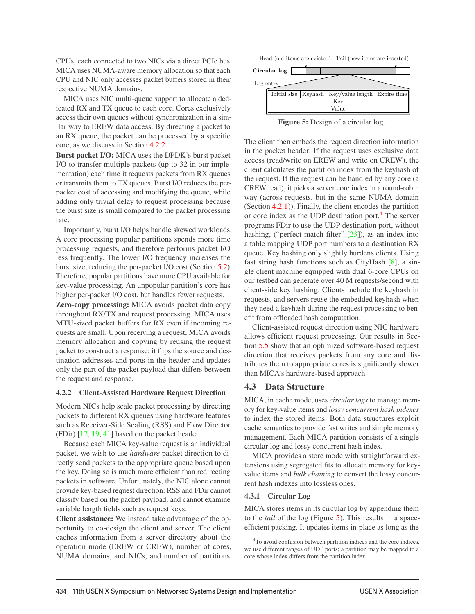CPUs, each connected to two NICs via a direct PCIe bus. MICA uses NUMA-aware memory allocation so that each CPU and NIC only accesses packet buffers stored in their respective NUMA domains.

MICA uses NIC multi-queue support to allocate a dedicated RX and TX queue to each core. Cores exclusively access their own queues without synchronization in a similar way to EREW data access. By directing a packet to an RX queue, the packet can be processed by a specific core, as we discuss in Section 4.2.2.

Burst packet I/O: MICA uses the DPDK's burst packet I/O to transfer multiple packets (up to 32 in our implementation) each time it requests packets from RX queues or transmits them to TX queues. Burst I/O reduces the perpacket cost of accessing and modifying the queue, while adding only trivial delay to request processing because the burst size is small compared to the packet processing rate.

Importantly, burst I/O helps handle skewed workloads. A core processing popular partitions spends more time processing requests, and therefore performs packet I/O less frequently. The lower I/O frequency increases the burst size, reducing the per-packet I/O cost (Section 5.2). Therefore, popular partitions have more CPU available for key-value processing. An unpopular partition's core has higher per-packet I/O cost, but handles fewer requests.

Zero-copy processing: MICA avoids packet data copy throughout RX/TX and request processing. MICA uses MTU-sized packet buffers for RX even if incoming requests are small. Upon receiving a request, MICA avoids memory allocation and copying by reusing the request packet to construct a response: it flips the source and destination addresses and ports in the header and updates only the part of the packet payload that differs between the request and response.

#### 4.2.2 Client-Assisted Hardware Request Direction

Modern NICs help scale packet processing by directing packets to different RX queues using hardware features such as Receiver-Side Scaling (RSS) and Flow Director (FDir) [12, 19, 41] based on the packet header.

Because each MICA key-value request is an individual packet, we wish to use *hardware* packet direction to directly send packets to the appropriate queue based upon the key. Doing so is much more efficient than redirecting packets in software. Unfortunately, the NIC alone cannot provide key-based request direction: RSS and FDir cannot classify based on the packet payload, and cannot examine variable length fields such as request keys.

Client assistance: We instead take advantage of the opportunity to co-design the client and server. The client caches information from a server directory about the operation mode (EREW or CREW), number of cores, NUMA domains, and NICs, and number of partitions.



Figure 5: Design of a circular log.

The client then embeds the request direction information in the packet header: If the request uses exclusive data access (read/write on EREW and write on CREW), the client calculates the partition index from the keyhash of the request. If the request can be handled by any core (a CREW read), it picks a server core index in a round-robin way (across requests, but in the same NUMA domain (Section 4.2.1)). Finally, the client encodes the partition or core index as the UDP destination port.<sup>4</sup> The server programs FDir to use the UDP destination port, without hashing, ("perfect match filter" [23]), as an index into a table mapping UDP port numbers to a destination RX queue. Key hashing only slightly burdens clients. Using fast string hash functions such as CityHash [8], a single client machine equipped with dual 6-core CPUs on our testbed can generate over 40 M requests/second with client-side key hashing. Clients include the keyhash in requests, and servers reuse the embedded keyhash when they need a keyhash during the request processing to benefit from offloaded hash computation.

Client-assisted request direction using NIC hardware allows efficient request processing. Our results in Section 5.5 show that an optimized software-based request direction that receives packets from any core and distributes them to appropriate cores is significantly slower than MICA's hardware-based approach.

#### 4.3 Data Structure

MICA, in cache mode, uses *circular logs* to manage memory for key-value items and *lossy concurrent hash indexes* to index the stored items. Both data structures exploit cache semantics to provide fast writes and simple memory management. Each MICA partition consists of a single circular log and lossy concurrent hash index.

MICA provides a store mode with straightforward extensions using segregated fits to allocate memory for keyvalue items and *bulk chaining* to convert the lossy concurrent hash indexes into lossless ones.

#### 4.3.1 Circular Log

MICA stores items in its circular log by appending them to the *tail* of the log (Figure 5). This results in a spaceefficient packing. It updates items in-place as long as the

<sup>4</sup>To avoid confusion between partition indices and the core indices, we use different ranges of UDP ports; a partition may be mapped to a core whose index differs from the partition index.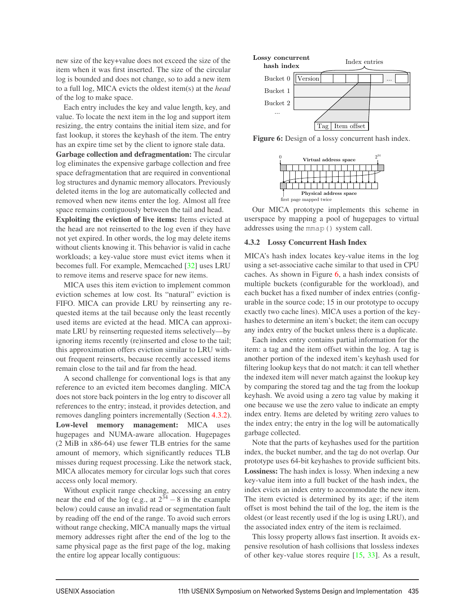new size of the key+value does not exceed the size of the item when it was first inserted. The size of the circular log is bounded and does not change, so to add a new item to a full log, MICA evicts the oldest item(s) at the *head* of the log to make space.

Each entry includes the key and value length, key, and value. To locate the next item in the log and support item resizing, the entry contains the initial item size, and for fast lookup, it stores the keyhash of the item. The entry has an expire time set by the client to ignore stale data.

Garbage collection and defragmentation: The circular log eliminates the expensive garbage collection and free space defragmentation that are required in conventional log structures and dynamic memory allocators. Previously deleted items in the log are automatically collected and removed when new items enter the log. Almost all free space remains contiguously between the tail and head.

Exploiting the eviction of live items: Items evicted at the head are not reinserted to the log even if they have not yet expired. In other words, the log may delete items without clients knowing it. This behavior is valid in cache workloads; a key-value store must evict items when it becomes full. For example, Memcached [32] uses LRU to remove items and reserve space for new items.

MICA uses this item eviction to implement common eviction schemes at low cost. Its "natural" eviction is FIFO. MICA can provide LRU by reinserting any requested items at the tail because only the least recently used items are evicted at the head. MICA can approximate LRU by reinserting requested items selectively—by ignoring items recently (re)inserted and close to the tail; this approximation offers eviction similar to LRU without frequent reinserts, because recently accessed items remain close to the tail and far from the head.

A second challenge for conventional logs is that any reference to an evicted item becomes dangling. MICA does not store back pointers in the log entry to discover all references to the entry; instead, it provides detection, and removes dangling pointers incrementally (Section 4.3.2). Low-level memory management: MICA uses hugepages and NUMA-aware allocation. Hugepages (2 MiB in x86-64) use fewer TLB entries for the same amount of memory, which significantly reduces TLB misses during request processing. Like the network stack, MICA allocates memory for circular logs such that cores access only local memory.

Without explicit range checking, accessing an entry near the end of the log (e.g., at  $2^{34} - 8$  in the example below) could cause an invalid read or segmentation fault by reading off the end of the range. To avoid such errors without range checking, MICA manually maps the virtual memory addresses right after the end of the log to the same physical page as the first page of the log, making the entire log appear locally contiguous:



Figure 6: Design of a lossy concurrent hash index.



Our MICA prototype implements this scheme in userspace by mapping a pool of hugepages to virtual addresses using the mmap() system call.

#### 4.3.2 Lossy Concurrent Hash Index

MICA's hash index locates key-value items in the log using a set-associative cache similar to that used in CPU caches. As shown in Figure 6, a hash index consists of multiple buckets (configurable for the workload), and each bucket has a fixed number of index entries (configurable in the source code; 15 in our prototype to occupy exactly two cache lines). MICA uses a portion of the keyhashes to determine an item's bucket; the item can occupy any index entry of the bucket unless there is a duplicate.

Each index entry contains partial information for the item: a tag and the item offset within the log. A tag is another portion of the indexed item's keyhash used for filtering lookup keys that do not match: it can tell whether the indexed item will never match against the lookup key by comparing the stored tag and the tag from the lookup keyhash. We avoid using a zero tag value by making it one because we use the zero value to indicate an empty index entry. Items are deleted by writing zero values to the index entry; the entry in the log will be automatically garbage collected.

Note that the parts of keyhashes used for the partition index, the bucket number, and the tag do not overlap. Our prototype uses 64-bit keyhashes to provide sufficient bits. Lossiness: The hash index is lossy. When indexing a new key-value item into a full bucket of the hash index, the index evicts an index entry to accommodate the new item. The item evicted is determined by its age; if the item offset is most behind the tail of the log, the item is the oldest (or least recently used if the log is using LRU), and the associated index entry of the item is reclaimed.

This lossy property allows fast insertion. It avoids expensive resolution of hash collisions that lossless indexes of other key-value stores require [15, 33]. As a result,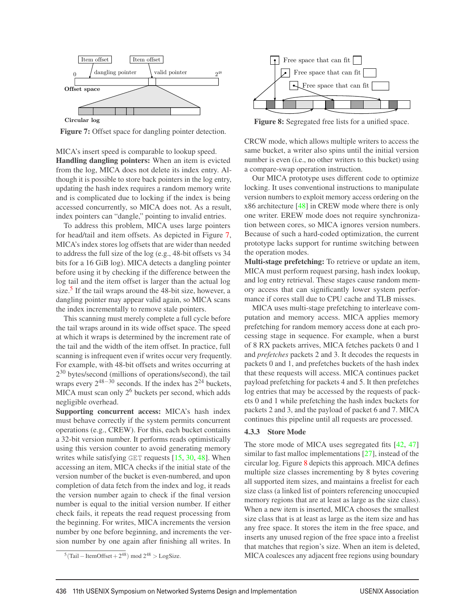

Figure 7: Offset space for dangling pointer detection.

MICA's insert speed is comparable to lookup speed. Handling dangling pointers: When an item is evicted from the log, MICA does not delete its index entry. Although it is possible to store back pointers in the log entry, updating the hash index requires a random memory write and is complicated due to locking if the index is being accessed concurrently, so MICA does not. As a result, index pointers can "dangle," pointing to invalid entries.

To address this problem, MICA uses large pointers for head/tail and item offsets. As depicted in Figure 7, MICA's index stores log offsets that are wider than needed to address the full size of the log (e.g., 48-bit offsets vs 34 bits for a 16 GiB log). MICA detects a dangling pointer before using it by checking if the difference between the log tail and the item offset is larger than the actual log size.<sup>5</sup> If the tail wraps around the 48-bit size, however, a dangling pointer may appear valid again, so MICA scans the index incrementally to remove stale pointers.

This scanning must merely complete a full cycle before the tail wraps around in its wide offset space. The speed at which it wraps is determined by the increment rate of the tail and the width of the item offset. In practice, full scanning is infrequent even if writes occur very frequently. For example, with 48-bit offsets and writes occurring at  $2^{30}$  bytes/second (millions of operations/second), the tail wraps every  $2^{48-30}$  seconds. If the index has  $2^{24}$  buckets, MICA must scan only  $2<sup>6</sup>$  buckets per second, which adds negligible overhead.

Supporting concurrent access: MICA's hash index must behave correctly if the system permits concurrent operations (e.g., CREW). For this, each bucket contains a 32-bit version number. It performs reads optimistically using this version counter to avoid generating memory writes while satisfying GET requests  $[15, 30, 48]$ . When accessing an item, MICA checks if the initial state of the version number of the bucket is even-numbered, and upon completion of data fetch from the index and log, it reads the version number again to check if the final version number is equal to the initial version number. If either check fails, it repeats the read request processing from the beginning. For writes, MICA increments the version number by one before beginning, and increments the version number by one again after finishing all writes. In





Figure 8: Segregated free lists for a unified space.

CRCW mode, which allows multiple writers to access the same bucket, a writer also spins until the initial version number is even (i.e., no other writers to this bucket) using a compare-swap operation instruction.

Our MICA prototype uses different code to optimize locking. It uses conventional instructions to manipulate version numbers to exploit memory access ordering on the x86 architecture [48] in CREW mode where there is only one writer. EREW mode does not require synchronization between cores, so MICA ignores version numbers. Because of such a hard-coded optimization, the current prototype lacks support for runtime switching between the operation modes.

Multi-stage prefetching: To retrieve or update an item, MICA must perform request parsing, hash index lookup, and log entry retrieval. These stages cause random memory access that can significantly lower system performance if cores stall due to CPU cache and TLB misses.

MICA uses multi-stage prefetching to interleave computation and memory access. MICA applies memory prefetching for random memory access done at each processing stage in sequence. For example, when a burst of 8 RX packets arrives, MICA fetches packets 0 and 1 and *prefetches* packets 2 and 3. It decodes the requests in packets 0 and 1, and prefetches buckets of the hash index that these requests will access. MICA continues packet payload prefetching for packets 4 and 5. It then prefetches log entries that may be accessed by the requests of packets 0 and 1 while prefetching the hash index buckets for packets 2 and 3, and the payload of packet 6 and 7. MICA continues this pipeline until all requests are processed.

#### 4.3.3 Store Mode

The store mode of MICA uses segregated fits [42, 47] similar to fast malloc implementations [27], instead of the circular log. Figure 8 depicts this approach. MICA defines multiple size classes incrementing by 8 bytes covering all supported item sizes, and maintains a freelist for each size class (a linked list of pointers referencing unoccupied memory regions that are at least as large as the size class). When a new item is inserted, MICA chooses the smallest size class that is at least as large as the item size and has any free space. It stores the item in the free space, and inserts any unused region of the free space into a freelist that matches that region's size. When an item is deleted, MICA coalesces any adjacent free regions using boundary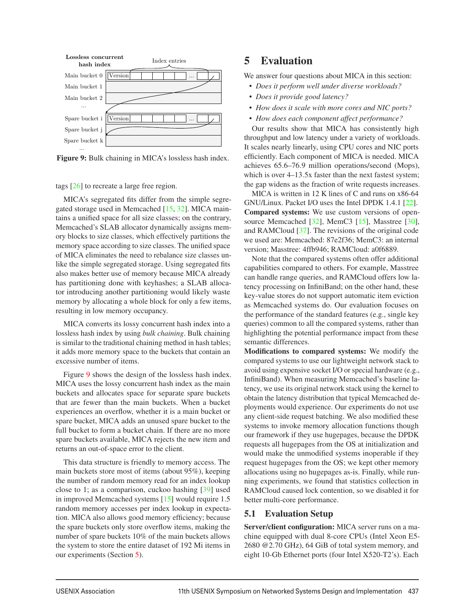

Figure 9: Bulk chaining in MICA's lossless hash index.

tags [26] to recreate a large free region.

MICA's segregated fits differ from the simple segregated storage used in Memcached [15, 32]. MICA maintains a unified space for all size classes; on the contrary, Memcached's SLAB allocator dynamically assigns memory blocks to size classes, which effectively partitions the memory space according to size classes. The unified space of MICA eliminates the need to rebalance size classes unlike the simple segregated storage. Using segregated fits also makes better use of memory because MICA already has partitioning done with keyhashes; a SLAB allocator introducing another partitioning would likely waste memory by allocating a whole block for only a few items, resulting in low memory occupancy.

MICA converts its lossy concurrent hash index into a lossless hash index by using *bulk chaining*. Bulk chaining is similar to the traditional chaining method in hash tables; it adds more memory space to the buckets that contain an excessive number of items.

Figure 9 shows the design of the lossless hash index. MICA uses the lossy concurrent hash index as the main buckets and allocates space for separate spare buckets that are fewer than the main buckets. When a bucket experiences an overflow, whether it is a main bucket or spare bucket, MICA adds an unused spare bucket to the full bucket to form a bucket chain. If there are no more spare buckets available, MICA rejects the new item and returns an out-of-space error to the client.

This data structure is friendly to memory access. The main buckets store most of items (about 95%), keeping the number of random memory read for an index lookup close to 1; as a comparison, cuckoo hashing [39] used in improved Memcached systems [15] would require 1.5 random memory accesses per index lookup in expectation. MICA also allows good memory efficiency; because the spare buckets only store overflow items, making the number of spare buckets 10% of the main buckets allows the system to store the entire dataset of 192 Mi items in our experiments (Section 5).

# 5 Evaluation

We answer four questions about MICA in this section:

- *Does it perform well under diverse workloads?*
- *Does it provide good latency?*
- *How does it scale with more cores and NIC ports?*
- *How does each component affect performance?*

Our results show that MICA has consistently high throughput and low latency under a variety of workloads. It scales nearly linearly, using CPU cores and NIC ports efficiently. Each component of MICA is needed. MICA achieves 65.6–76.9 million operations/second (Mops), which is over  $4-13.5x$  faster than the next fastest system; the gap widens as the fraction of write requests increases.

MICA is written in 12 K lines of C and runs on x86-64 GNU/Linux. Packet I/O uses the Intel DPDK 1.4.1 [22]. Compared systems: We use custom versions of opensource Memcached [32], MemC3 [15], Masstree [30], and RAMCloud [37]. The revisions of the original code we used are: Memcached: 87e2f36; MemC3: an internal version; Masstree: 4ffb946; RAMCloud: a0f6889.

Note that the compared systems often offer additional capabilities compared to others. For example, Masstree can handle range queries, and RAMCloud offers low latency processing on InfiniBand; on the other hand, these key-value stores do not support automatic item eviction as Memcached systems do. Our evaluation focuses on the performance of the standard features (e.g., single key queries) common to all the compared systems, rather than highlighting the potential performance impact from these semantic differences.

Modifications to compared systems: We modify the compared systems to use our lightweight network stack to avoid using expensive socket I/O or special hardware (e.g., InfiniBand). When measuring Memcached's baseline latency, we use its original network stack using the kernel to obtain the latency distribution that typical Memcached deployments would experience. Our experiments do not use any client-side request batching. We also modified these systems to invoke memory allocation functions though our framework if they use hugepages, because the DPDK requests all hugepages from the OS at initialization and would make the unmodified systems inoperable if they request hugepages from the OS; we kept other memory allocations using no hugepages as-is. Finally, while running experiments, we found that statistics collection in RAMCloud caused lock contention, so we disabled it for better multi-core performance.

### 5.1 Evaluation Setup

Server/client configuration: MICA server runs on a machine equipped with dual 8-core CPUs (Intel Xeon E5- 2680 @2.70 GHz), 64 GiB of total system memory, and eight 10-Gb Ethernet ports (four Intel X520-T2's). Each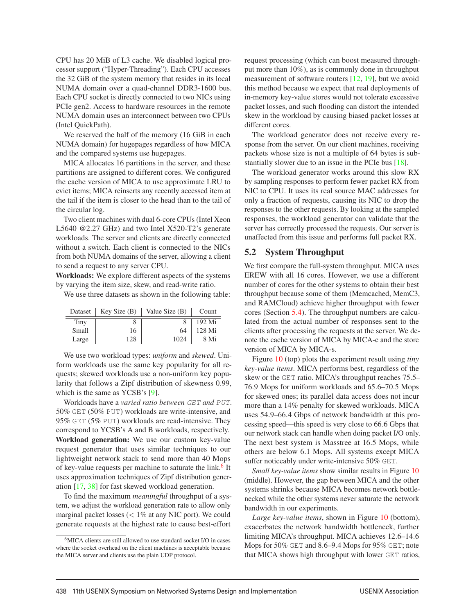CPU has 20 MiB of L3 cache. We disabled logical processor support ("Hyper-Threading"). Each CPU accesses the 32 GiB of the system memory that resides in its local NUMA domain over a quad-channel DDR3-1600 bus. Each CPU socket is directly connected to two NICs using PCIe gen2. Access to hardware resources in the remote NUMA domain uses an interconnect between two CPUs (Intel QuickPath).

We reserved the half of the memory (16 GiB in each NUMA domain) for hugepages regardless of how MICA and the compared systems use hugepages.

MICA allocates 16 partitions in the server, and these partitions are assigned to different cores. We configured the cache version of MICA to use approximate LRU to evict items; MICA reinserts any recently accessed item at the tail if the item is closer to the head than to the tail of the circular log.

Two client machines with dual 6-core CPUs (Intel Xeon L5640 @2.27 GHz) and two Intel X520-T2's generate workloads. The server and clients are directly connected without a switch. Each client is connected to the NICs from both NUMA domains of the server, allowing a client to send a request to any server CPU.

Workloads: We explore different aspects of the systems by varying the item size, skew, and read-write ratio.

We use three datasets as shown in the following table:

| Dataset | Key Size(B) | Value Size (B) | Count  |
|---------|-------------|----------------|--------|
| Tiny    |             |                | 192 Mi |
| Small   | 16          | 64             | 128 Mi |
| Large   | 128         | 1024           | 8 Mi   |

We use two workload types: *uniform* and *skewed*. Uniform workloads use the same key popularity for all requests; skewed workloads use a non-uniform key popularity that follows a Zipf distribution of skewness 0.99, which is the same as YCSB's [9].

Workloads have a *varied ratio between GET and PUT*. 50% GET (50% PUT) workloads are write-intensive, and 95% GET (5% PUT) workloads are read-intensive. They correspond to YCSB's A and B workloads, respectively. Workload generation: We use our custom key-value request generator that uses similar techniques to our lightweight network stack to send more than 40 Mops of key-value requests per machine to saturate the link.<sup>6</sup> It uses approximation techniques of Zipf distribution generation [17, 38] for fast skewed workload generation.

To find the maximum *meaningful* throughput of a system, we adjust the workload generation rate to allow only marginal packet losses  $\left($  < 1% at any NIC port). We could generate requests at the highest rate to cause best-effort

request processing (which can boost measured throughput more than 10%), as is commonly done in throughput measurement of software routers [12, 19], but we avoid this method because we expect that real deployments of in-memory key-value stores would not tolerate excessive packet losses, and such flooding can distort the intended skew in the workload by causing biased packet losses at different cores.

The workload generator does not receive every response from the server. On our client machines, receiving packets whose size is not a multiple of 64 bytes is substantially slower due to an issue in the PCIe bus [18].

The workload generator works around this slow RX by sampling responses to perform fewer packet RX from NIC to CPU. It uses its real source MAC addresses for only a fraction of requests, causing its NIC to drop the responses to the other requests. By looking at the sampled responses, the workload generator can validate that the server has correctly processed the requests. Our server is unaffected from this issue and performs full packet RX.

#### 5.2 System Throughput

We first compare the full-system throughput. MICA uses EREW with all 16 cores. However, we use a different number of cores for the other systems to obtain their best throughput because some of them (Memcached, MemC3, and RAMCloud) achieve higher throughput with fewer cores (Section 5.4). The throughput numbers are calculated from the actual number of responses sent to the clients after processing the requests at the server. We denote the cache version of MICA by MICA-c and the store version of MICA by MICA-s.

Figure 10 (top) plots the experiment result using *tiny key-value items*. MICA performs best, regardless of the skew or the GET ratio. MICA's throughput reaches 75.5– 76.9 Mops for uniform workloads and 65.6–70.5 Mops for skewed ones; its parallel data access does not incur more than a 14% penalty for skewed workloads. MICA uses 54.9–66.4 Gbps of network bandwidth at this processing speed—this speed is very close to 66.6 Gbps that our network stack can handle when doing packet I/O only. The next best system is Masstree at 16.5 Mops, while others are below 6.1 Mops. All systems except MICA suffer noticeably under write-intensive 50% GET.

*Small key-value items* show similar results in Figure 10 (middle). However, the gap between MICA and the other systems shrinks because MICA becomes network bottlenecked while the other systems never saturate the network bandwidth in our experiments.

*Large key-value items*, shown in Figure 10 (bottom), exacerbates the network bandwidth bottleneck, further limiting MICA's throughput. MICA achieves 12.6–14.6 Mops for 50% GET and 8.6–9.4 Mops for 95% GET; note that MICA shows high throughput with lower GET ratios,

<sup>6</sup>MICA clients are still allowed to use standard socket I/O in cases where the socket overhead on the client machines is acceptable because the MICA server and clients use the plain UDP protocol.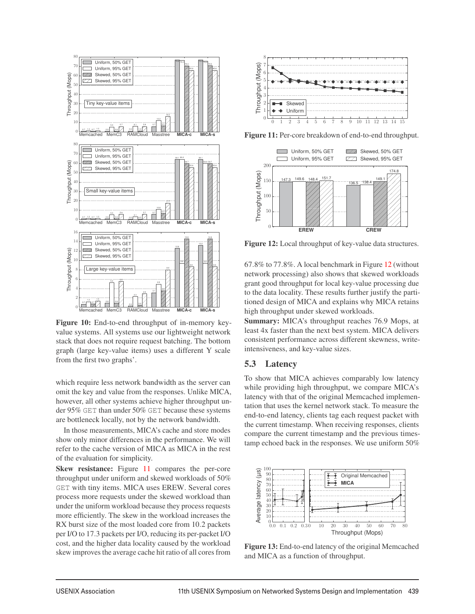

Figure 10: End-to-end throughput of in-memory keyvalue systems. All systems use our lightweight network stack that does not require request batching. The bottom graph (large key-value items) uses a different Y scale from the first two graphs'.

which require less network bandwidth as the server can omit the key and value from the responses. Unlike MICA, however, all other systems achieve higher throughput under 95% GET than under 50% GET because these systems are bottleneck locally, not by the network bandwidth.

In those measurements, MICA's cache and store modes show only minor differences in the performance. We will refer to the cache version of MICA as MICA in the rest of the evaluation for simplicity.

Skew resistance: Figure 11 compares the per-core throughput under uniform and skewed workloads of 50% GET with tiny items. MICA uses EREW. Several cores process more requests under the skewed workload than under the uniform workload because they process requests more efficiently. The skew in the workload increases the RX burst size of the most loaded core from 10.2 packets per I/O to 17.3 packets per I/O, reducing its per-packet I/O cost, and the higher data locality caused by the workload skew improves the average cache hit ratio of all cores from



Figure 11: Per-core breakdown of end-to-end throughput.



Figure 12: Local throughput of key-value data structures.

67.8% to 77.8%. A local benchmark in Figure 12 (without network processing) also shows that skewed workloads grant good throughput for local key-value processing due to the data locality. These results further justify the partitioned design of MICA and explains why MICA retains high throughput under skewed workloads.

Summary: MICA's throughput reaches 76.9 Mops, at least 4x faster than the next best system. MICA delivers consistent performance across different skewness, writeintensiveness, and key-value sizes.

#### 5.3 Latency

To show that MICA achieves comparably low latency while providing high throughput, we compare MICA's latency with that of the original Memcached implementation that uses the kernel network stack. To measure the end-to-end latency, clients tag each request packet with the current timestamp. When receiving responses, clients compare the current timestamp and the previous timestamp echoed back in the responses. We use uniform 50%



Figure 13: End-to-end latency of the original Memcached and MICA as a function of throughput.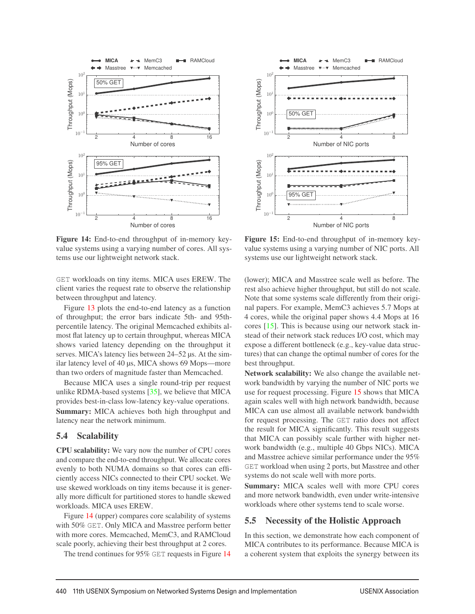

Figure 14: End-to-end throughput of in-memory keyvalue systems using a varying number of cores. All systems use our lightweight network stack.

GET workloads on tiny items. MICA uses EREW. The client varies the request rate to observe the relationship between throughput and latency.

Figure 13 plots the end-to-end latency as a function of throughput; the error bars indicate 5th- and 95thpercentile latency. The original Memcached exhibits almost flat latency up to certain throughput, whereas MICA shows varied latency depending on the throughput it serves. MICA's latency lies between 24–52 μs. At the similar latency level of 40 μs, MICA shows 69 Mops—more than two orders of magnitude faster than Memcached.

Because MICA uses a single round-trip per request unlike RDMA-based systems [35], we believe that MICA provides best-in-class low-latency key-value operations. Summary: MICA achieves both high throughput and latency near the network minimum.

#### 5.4 Scalability

CPU scalability: We vary now the number of CPU cores and compare the end-to-end throughput. We allocate cores evenly to both NUMA domains so that cores can efficiently access NICs connected to their CPU socket. We use skewed workloads on tiny items because it is generally more difficult for partitioned stores to handle skewed workloads. MICA uses EREW.

Figure 14 (upper) compares core scalability of systems with 50% GET. Only MICA and Masstree perform better with more cores. Memcached, MemC3, and RAMCloud scale poorly, achieving their best throughput at 2 cores.

The trend continues for 95% GET requests in Figure 14



Figure 15: End-to-end throughput of in-memory keyvalue systems using a varying number of NIC ports. All systems use our lightweight network stack.

(lower); MICA and Masstree scale well as before. The rest also achieve higher throughput, but still do not scale. Note that some systems scale differently from their original papers. For example, MemC3 achieves 5.7 Mops at 4 cores, while the original paper shows 4.4 Mops at 16 cores [15]. This is because using our network stack instead of their network stack reduces I/O cost, which may expose a different bottleneck (e.g., key-value data structures) that can change the optimal number of cores for the best throughput.

Network scalability: We also change the available network bandwidth by varying the number of NIC ports we use for request processing. Figure 15 shows that MICA again scales well with high network bandwidth, because MICA can use almost all available network bandwidth for request processing. The GET ratio does not affect the result for MICA significantly. This result suggests that MICA can possibly scale further with higher network bandwidth (e.g., multiple 40 Gbps NICs). MICA and Masstree achieve similar performance under the 95% GET workload when using 2 ports, but Masstree and other systems do not scale well with more ports.

Summary: MICA scales well with more CPU cores and more network bandwidth, even under write-intensive workloads where other systems tend to scale worse.

#### 5.5 Necessity of the Holistic Approach

In this section, we demonstrate how each component of MICA contributes to its performance. Because MICA is a coherent system that exploits the synergy between its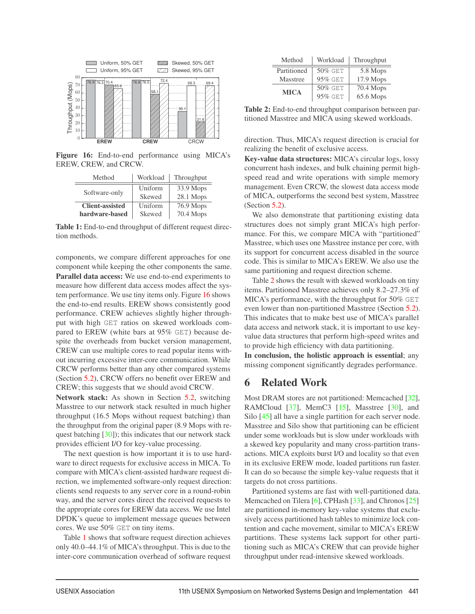

Figure 16: End-to-end performance using MICA's EREW, CREW, and CRCW.

| Method                 | Workload | Throughput |
|------------------------|----------|------------|
| Software-only          | Uniform  | 33.9 Mops  |
|                        | Skewed   | 28.1 Mops  |
| <b>Client-assisted</b> | Uniform  | 76.9 Mops  |
| hardware-based         | Skewed   | 70.4 Mops  |

Table 1: End-to-end throughput of different request direction methods.

components, we compare different approaches for one component while keeping the other components the same. Parallel data access: We use end-to-end experiments to measure how different data access modes affect the system performance. We use tiny items only. Figure 16 shows the end-to-end results. EREW shows consistently good performance. CREW achieves slightly higher throughput with high GET ratios on skewed workloads compared to EREW (white bars at 95% GET) because despite the overheads from bucket version management, CREW can use multiple cores to read popular items without incurring excessive inter-core communication. While CRCW performs better than any other compared systems (Section 5.2), CRCW offers no benefit over EREW and CREW; this suggests that we should avoid CRCW.

Network stack: As shown in Section 5.2, switching Masstree to our network stack resulted in much higher throughput (16.5 Mops without request batching) than the throughput from the original paper (8.9 Mops with request batching [30]); this indicates that our network stack provides efficient I/O for key-value processing.

The next question is how important it is to use hardware to direct requests for exclusive access in MICA. To compare with MICA's client-assisted hardware request direction, we implemented software-only request direction: clients send requests to any server core in a round-robin way, and the server cores direct the received requests to the appropriate cores for EREW data access. We use Intel DPDK's queue to implement message queues between cores. We use 50% GET on tiny items.

Table 1 shows that software request direction achieves only 40.0–44.1% of MICA's throughput. This is due to the inter-core communication overhead of software request

| Method      | Workload   | Throughput |
|-------------|------------|------------|
| Partitioned | 50% GET    | 5.8 Mops   |
| Masstree    | $95\%$ GET | 17.9 Mops  |
| <b>MICA</b> | $50\%$ GET | 70.4 Mops  |
|             | 95% GET    | 65.6 Mops  |

Table 2: End-to-end throughput comparison between partitioned Masstree and MICA using skewed workloads.

direction. Thus, MICA's request direction is crucial for realizing the benefit of exclusive access.

Key-value data structures: MICA's circular logs, lossy concurrent hash indexes, and bulk chaining permit highspeed read and write operations with simple memory management. Even CRCW, the slowest data access mode of MICA, outperforms the second best system, Masstree (Section 5.2).

We also demonstrate that partitioning existing data structures does not simply grant MICA's high performance. For this, we compare MICA with "partitioned" Masstree, which uses one Masstree instance per core, with its support for concurrent access disabled in the source code. This is similar to MICA's EREW. We also use the same partitioning and request direction scheme.

Table 2 shows the result with skewed workloads on tiny items. Partitioned Masstree achieves only 8.2–27.3% of MICA's performance, with the throughput for 50% GET even lower than non-partitioned Masstree (Section 5.2). This indicates that to make best use of MICA's parallel data access and network stack, it is important to use keyvalue data structures that perform high-speed writes and to provide high efficiency with data partitioning.

In conclusion, the holistic approach is essential; any missing component significantly degrades performance.

# 6 Related Work

Most DRAM stores are not partitioned: Memcached [32], RAMCloud [37], MemC3 [15], Masstree [30], and Silo  $[45]$  all have a single partition for each server node. Masstree and Silo show that partitioning can be efficient under some workloads but is slow under workloads with a skewed key popularity and many cross-partition transactions. MICA exploits burst I/O and locality so that even in its exclusive EREW mode, loaded partitions run faster. It can do so because the simple key-value requests that it targets do not cross partitions.

Partitioned systems are fast with well-partitioned data. Memcached on Tilera [6], CPHash [33], and Chronos [25] are partitioned in-memory key-value systems that exclusively access partitioned hash tables to minimize lock contention and cache movement, similar to MICA's EREW partitions. These systems lack support for other partitioning such as MICA's CREW that can provide higher throughput under read-intensive skewed workloads.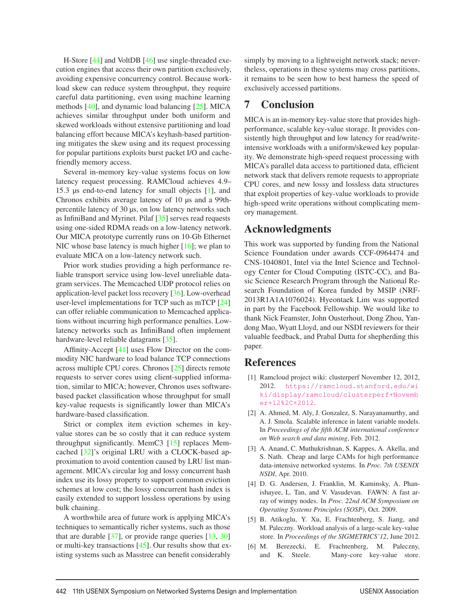H-Store [44] and VoltDB [46] use single-threaded execution engines that access their own partition exclusively, avoiding expensive concurrency control. Because workload skew can reduce system throughput, they require careful data partitioning, even using machine learning methods [40], and dynamic load balancing [25]. MICA achieves similar throughput under both uniform and skewed workloads without extensive partitioning and load balancing effort because MICA's keyhash-based partitioning mitigates the skew using and its request processing for popular partitions exploits burst packet I/O and cachefriendly memory access.

Several in-memory key-value systems focus on low latency request processing. RAMCloud achieves 4.9– 15.3 μs end-to-end latency for small objects [1], and Chronos exhibits average latency of 10 μs and a 99thpercentile latency of 30 μs, on low latency networks such as InfiniBand and Myrinet. Pilaf [35] serves read requests using one-sided RDMA reads on a low-latency network. Our MICA prototype currently runs on 10-Gb Ethernet NIC whose base latency is much higher [16]; we plan to evaluate MICA on a low-latency network such.

Prior work studies providing a high performance reliable transport service using low-level unreliable datagram services. The Memcached UDP protocol relies on application-level packet loss recovery [36]. Low-overhead user-level implementations for TCP such as mTCP [24] can offer reliable communication to Memcached applications without incurring high performance penalties. Lowlatency networks such as InfiniBand often implement hardware-level reliable datagrams [35].

Affinity-Accept [41] uses Flow Director on the commodity NIC hardware to load balance TCP connections across multiple CPU cores. Chronos [25] directs remote requests to server cores using client-supplied information, similar to MICA; however, Chronos uses softwarebased packet classification whose throughput for small key-value requests is significantly lower than MICA's hardware-based classification.

Strict or complex item eviction schemes in keyvalue stores can be so costly that it can reduce system throughput significantly. MemC3 [15] replaces Memcached [32]'s original LRU with a CLOCK-based approximation to avoid contention caused by LRU list management. MICA's circular log and lossy concurrent hash index use its lossy property to support common eviction schemes at low cost; the lossy concurrent hash index is easily extended to support lossless operations by using bulk chaining.

A worthwhile area of future work is applying MICA's techniques to semantically richer systems, such as those that are durable  $[37]$ , or provide range queries  $[13, 30]$ or multi-key transactions [45]. Our results show that existing systems such as Masstree can benefit considerably

simply by moving to a lightweight network stack; nevertheless, operations in these systems may cross partitions, it remains to be seen how to best harness the speed of exclusively accessed partitions.

### 7 Conclusion

MICA is an in-memory key-value store that provides highperformance, scalable key-value storage. It provides consistently high throughput and low latency for read/writeintensive workloads with a uniform/skewed key popularity. We demonstrate high-speed request processing with MICA's parallel data access to partitioned data, efficient network stack that delivers remote requests to appropriate CPU cores, and new lossy and lossless data structures that exploit properties of key-value workloads to provide high-speed write operations without complicating memory management.

# Acknowledgments

This work was supported by funding from the National Science Foundation under awards CCF-0964474 and CNS-1040801, Intel via the Intel Science and Technology Center for Cloud Computing (ISTC-CC), and Basic Science Research Program through the National Research Foundation of Korea funded by MSIP (NRF-2013R1A1A1076024). Hyeontaek Lim was supported in part by the Facebook Fellowship. We would like to thank Nick Feamster, John Ousterhout, Dong Zhou, Yandong Mao, Wyatt Lloyd, and our NSDI reviewers for their valuable feedback, and Prabal Dutta for shepherding this paper.

### References

- [1] Ramcloud project wiki: clusterperf November 12, 2012, 2012. https://ramcloud.stanford.edu/wi ki/display/ramcloud/clusterperf+Novemb er+12%2C+2012.
- [2] A. Ahmed, M. Aly, J. Gonzalez, S. Narayanamurthy, and A. J. Smola. Scalable inference in latent variable models. In *Proceedings of the fifth ACM international conference on Web search and data mining*, Feb. 2012.
- [3] A. Anand, C. Muthukrishnan, S. Kappes, A. Akella, and S. Nath. Cheap and large CAMs for high performance data-intensive networked systems. In *Proc. 7th USENIX NSDI*, Apr. 2010.
- [4] D. G. Andersen, J. Franklin, M. Kaminsky, A. Phanishayee, L. Tan, and V. Vasudevan. FAWN: A fast array of wimpy nodes. In *Proc. 22nd ACM Symposium on Operating Systems Principles (SOSP)*, Oct. 2009.
- [5] B. Atikoglu, Y. Xu, E. Frachtenberg, S. Jiang, and M. Paleczny. Workload analysis of a large-scale key-value store. In *Proceedings of the SIGMETRICS'12*, June 2012.
- [6] M. Berezecki, E. Frachtenberg, M. Paleczny, and K. Steele. Many-core key-value store.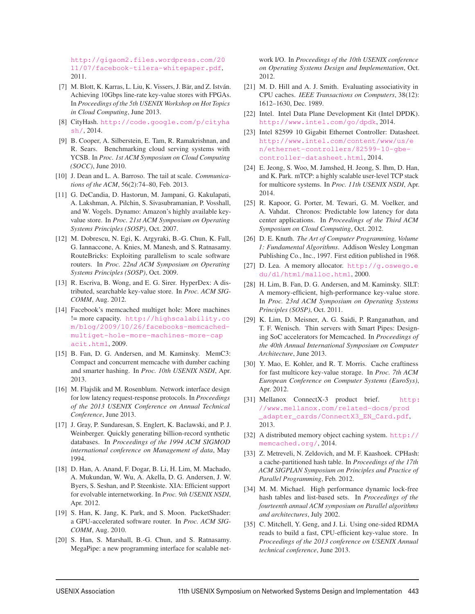http://gigaom2.files.wordpress.com/20 11/07/facebook-tilera-whitepaper.pdf, 2011.

- [7] M. Blott, K. Karras, L. Liu, K. Vissers, J. Bär, and Z. István. Achieving 10Gbps line-rate key-value stores with FPGAs. In *Proceedings of the 5th USENIX Workshop on Hot Topics in Cloud Computing*, June 2013.
- [8] CityHash. http://code.google.com/p/cityha sh/, 2014.
- [9] B. Cooper, A. Silberstein, E. Tam, R. Ramakrishnan, and R. Sears. Benchmarking cloud serving systems with YCSB. In *Proc. 1st ACM Symposium on Cloud Computing (SOCC)*, June 2010.
- [10] J. Dean and L. A. Barroso. The tail at scale. *Communications of the ACM*, 56(2):74–80, Feb. 2013.
- [11] G. DeCandia, D. Hastorun, M. Jampani, G. Kakulapati, A. Lakshman, A. Pilchin, S. Sivasubramanian, P. Vosshall, and W. Vogels. Dynamo: Amazon's highly available keyvalue store. In *Proc. 21st ACM Symposium on Operating Systems Principles (SOSP)*, Oct. 2007.
- [12] M. Dobrescu, N. Egi, K. Argyraki, B.-G. Chun, K. Fall, G. Iannaccone, A. Knies, M. Manesh, and S. Ratnasamy. RouteBricks: Exploiting parallelism to scale software routers. In *Proc. 22nd ACM Symposium on Operating Systems Principles (SOSP)*, Oct. 2009.
- [13] R. Escriva, B. Wong, and E. G. Sirer. HyperDex: A distributed, searchable key-value store. In *Proc. ACM SIG-COMM*, Aug. 2012.
- [14] Facebook's memcached multiget hole: More machines != more capacity. http://highscalability.co m/blog/2009/10/26/facebooks-memcachedmultiget-hole-more-machines-more-cap acit.html, 2009.
- [15] B. Fan, D. G. Andersen, and M. Kaminsky. MemC3: Compact and concurrent memcache with dumber caching and smarter hashing. In *Proc. 10th USENIX NSDI*, Apr. 2013.
- [16] M. Flajslik and M. Rosenblum. Network interface design for low latency request-response protocols. In *Proceedings of the 2013 USENIX Conference on Annual Technical Conference*, June 2013.
- [17] J. Gray, P. Sundaresan, S. Englert, K. Baclawski, and P. J. Weinberger. Quickly generating billion-record synthetic databases. In *Proceedings of the 1994 ACM SIGMOD international conference on Management of data*, May 1994.
- [18] D. Han, A. Anand, F. Dogar, B. Li, H. Lim, M. Machado, A. Mukundan, W. Wu, A. Akella, D. G. Andersen, J. W. Byers, S. Seshan, and P. Steenkiste. XIA: Efficient support for evolvable internetworking. In *Proc. 9th USENIX NSDI*, Apr. 2012.
- [19] S. Han, K. Jang, K. Park, and S. Moon. PacketShader: a GPU-accelerated software router. In *Proc. ACM SIG-COMM*, Aug. 2010.
- [20] S. Han, S. Marshall, B.-G. Chun, and S. Ratnasamy. MegaPipe: a new programming interface for scalable net-

work I/O. In *Proceedings of the 10th USENIX conference on Operating Systems Design and Implementation*, Oct. 2012.

- [21] M. D. Hill and A. J. Smith. Evaluating associativity in CPU caches. *IEEE Transactions on Computers*, 38(12): 1612–1630, Dec. 1989.
- [22] Intel. Intel Data Plane Development Kit (Intel DPDK). http://www.intel.com/go/dpdk, 2014.
- [23] Intel 82599 10 Gigabit Ethernet Controller: Datasheet. http://www.intel.com/content/www/us/e n/ethernet-controllers/82599-10-gbecontroller-datasheet.html, 2014.
- [24] E. Jeong, S. Woo, M. Jamshed, H. Jeong, S. Ihm, D. Han, and K. Park. mTCP: a highly scalable user-level TCP stack for multicore systems. In *Proc. 11th USENIX NSDI*, Apr. 2014.
- [25] R. Kapoor, G. Porter, M. Tewari, G. M. Voelker, and A. Vahdat. Chronos: Predictable low latency for data center applications. In *Proceedings of the Third ACM Symposium on Cloud Computing*, Oct. 2012.
- [26] D. E. Knuth. *The Art of Computer Programming, Volume 1: Fundamental Algorithms*. Addison Wesley Longman Publishing Co., Inc., 1997. First edition published in 1968.
- [27] D. Lea. A memory allocator. http://g.oswego.e du/dl/html/malloc.html, 2000.
- [28] H. Lim, B. Fan, D. G. Andersen, and M. Kaminsky. SILT: A memory-efficient, high-performance key-value store. In *Proc. 23rd ACM Symposium on Operating Systems Principles (SOSP)*, Oct. 2011.
- [29] K. Lim, D. Meisner, A. G. Saidi, P. Ranganathan, and T. F. Wenisch. Thin servers with Smart Pipes: Designing SoC accelerators for Memcached. In *Proceedings of the 40th Annual International Symposium on Computer Architecture*, June 2013.
- [30] Y. Mao, E. Kohler, and R. T. Morris. Cache craftiness for fast multicore key-value storage. In *Proc. 7th ACM European Conference on Computer Systems (EuroSys)*, Apr. 2012.
- [31] Mellanox ConnectX-3 product brief. http: //www.mellanox.com/related-docs/prod \_adapter\_cards/ConnectX3\_EN\_Card.pdf, 2013.
- [32] A distributed memory object caching system. http:// memcached.org/, 2014.
- [33] Z. Metreveli, N. Zeldovich, and M. F. Kaashoek. CPHash: a cache-partitioned hash table. In *Proceedings of the 17th ACM SIGPLAN Symposium on Principles and Practice of Parallel Programming*, Feb. 2012.
- [34] M. M. Michael. High performance dynamic lock-free hash tables and list-based sets. In *Proceedings of the fourteenth annual ACM symposium on Parallel algorithms and architectures*, July 2002.
- [35] C. Mitchell, Y. Geng, and J. Li. Using one-sided RDMA reads to build a fast, CPU-efficient key-value store. In *Proceedings of the 2013 conference on USENIX Annual technical conference*, June 2013.